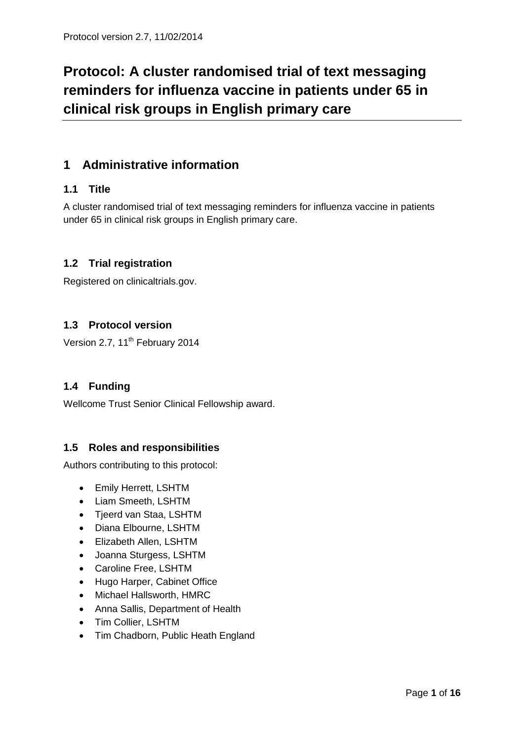# **Protocol: A cluster randomised trial of text messaging reminders for influenza vaccine in patients under 65 in clinical risk groups in English primary care**

# **1 Administrative information**

# **1.1 Title**

A cluster randomised trial of text messaging reminders for influenza vaccine in patients under 65 in clinical risk groups in English primary care.

# **1.2 Trial registration**

Registered on clinicaltrials.gov.

# **1.3 Protocol version**

Version 2.7, 11<sup>th</sup> February 2014

# **1.4 Funding**

Wellcome Trust Senior Clinical Fellowship award.

# **1.5 Roles and responsibilities**

Authors contributing to this protocol:

- Emily Herrett, LSHTM
- Liam Smeeth, LSHTM
- Tjeerd van Staa, LSHTM
- Diana Elbourne, LSHTM
- Elizabeth Allen, LSHTM
- Joanna Sturgess, LSHTM
- Caroline Free, LSHTM
- Hugo Harper, Cabinet Office
- Michael Hallsworth, HMRC
- Anna Sallis, Department of Health
- Tim Collier, LSHTM
- Tim Chadborn, Public Heath England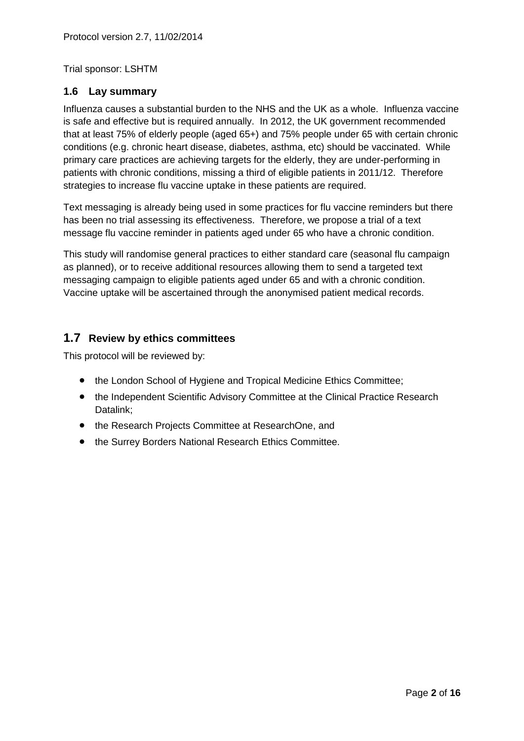Trial sponsor: LSHTM

# **1.6 Lay summary**

Influenza causes a substantial burden to the NHS and the UK as a whole. Influenza vaccine is safe and effective but is required annually. In 2012, the UK government recommended that at least 75% of elderly people (aged 65+) and 75% people under 65 with certain chronic conditions (e.g. chronic heart disease, diabetes, asthma, etc) should be vaccinated. While primary care practices are achieving targets for the elderly, they are under-performing in patients with chronic conditions, missing a third of eligible patients in 2011/12. Therefore strategies to increase flu vaccine uptake in these patients are required.

Text messaging is already being used in some practices for flu vaccine reminders but there has been no trial assessing its effectiveness. Therefore, we propose a trial of a text message flu vaccine reminder in patients aged under 65 who have a chronic condition.

This study will randomise general practices to either standard care (seasonal flu campaign as planned), or to receive additional resources allowing them to send a targeted text messaging campaign to eligible patients aged under 65 and with a chronic condition. Vaccine uptake will be ascertained through the anonymised patient medical records.

# **1.7 Review by ethics committees**

This protocol will be reviewed by:

- the London School of Hygiene and Tropical Medicine Ethics Committee;
- the Independent Scientific Advisory Committee at the Clinical Practice Research Datalink;
- the Research Projects Committee at ResearchOne, and
- the Surrey Borders National Research Ethics Committee.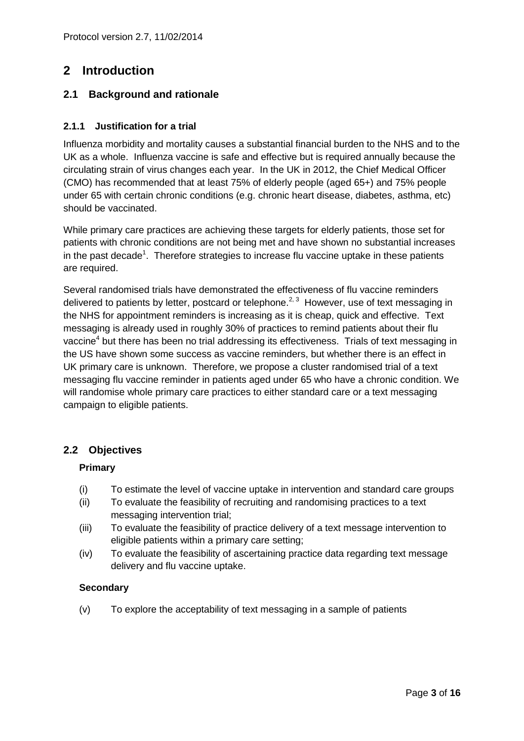# **2 Introduction**

# **2.1 Background and rationale**

### **2.1.1 Justification for a trial**

Influenza morbidity and mortality causes a substantial financial burden to the NHS and to the UK as a whole. Influenza vaccine is safe and effective but is required annually because the circulating strain of virus changes each year. In the UK in 2012, the Chief Medical Officer (CMO) has recommended that at least 75% of elderly people (aged 65+) and 75% people under 65 with certain chronic conditions (e.g. chronic heart disease, diabetes, asthma, etc) should be vaccinated.

While primary care practices are achieving these targets for elderly patients, those set for patients with chronic conditions are not being met and have shown no substantial increases in the past decade<sup>[1](#page-14-0)</sup>. Therefore strategies to increase flu vaccine uptake in these patients are required.

Several randomised trials have demonstrated the effectiveness of flu vaccine reminders delivered to patients by letter, postcard or telephone.<sup>[2,](#page-14-1) [3](#page-14-2)</sup> However, use of text messaging in the NHS for appointment reminders is increasing as it is cheap, quick and effective. Text messaging is already used in roughly 30% of practices to remind patients about their flu vaccine<sup>[4](#page-14-3)</sup> but there has been no trial addressing its effectiveness. Trials of text messaging in the US have shown some success as vaccine reminders, but whether there is an effect in UK primary care is unknown. Therefore, we propose a cluster randomised trial of a text messaging flu vaccine reminder in patients aged under 65 who have a chronic condition. We will randomise whole primary care practices to either standard care or a text messaging campaign to eligible patients.

# **2.2 Objectives**

#### **Primary**

- (i) To estimate the level of vaccine uptake in intervention and standard care groups
- (ii) To evaluate the feasibility of recruiting and randomising practices to a text messaging intervention trial;
- (iii) To evaluate the feasibility of practice delivery of a text message intervention to eligible patients within a primary care setting;
- (iv) To evaluate the feasibility of ascertaining practice data regarding text message delivery and flu vaccine uptake.

#### **Secondary**

(v) To explore the acceptability of text messaging in a sample of patients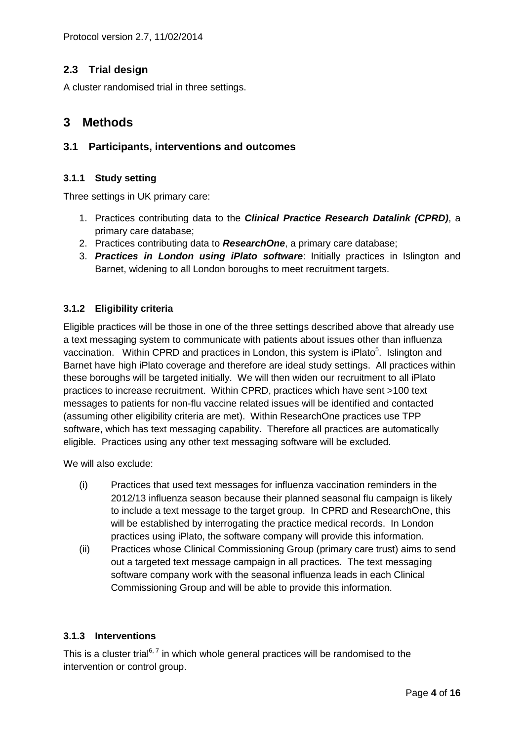Protocol version 2.7, 11/02/2014

# **2.3 Trial design**

A cluster randomised trial in three settings.

# **3 Methods**

# **3.1 Participants, interventions and outcomes**

#### **3.1.1 Study setting**

Three settings in UK primary care:

- 1. Practices contributing data to the *Clinical Practice Research Datalink (CPRD)*, a primary care database;
- 2. Practices contributing data to *ResearchOne*, a primary care database;
- 3. *Practices in London using iPlato software*: Initially practices in Islington and Barnet, widening to all London boroughs to meet recruitment targets.

#### **3.1.2 Eligibility criteria**

Eligible practices will be those in one of the three settings described above that already use a text messaging system to communicate with patients about issues other than influenza vaccinati[o](#page-14-4)n. Within CPRD and practices in London, this system is iPlato<sup>5</sup>. Islington and Barnet have high iPlato coverage and therefore are ideal study settings. All practices within these boroughs will be targeted initially. We will then widen our recruitment to all iPlato practices to increase recruitment. Within CPRD, practices which have sent >100 text messages to patients for non-flu vaccine related issues will be identified and contacted (assuming other eligibility criteria are met). Within ResearchOne practices use TPP software, which has text messaging capability. Therefore all practices are automatically eligible. Practices using any other text messaging software will be excluded.

We will also exclude:

- (i) Practices that used text messages for influenza vaccination reminders in the 2012/13 influenza season because their planned seasonal flu campaign is likely to include a text message to the target group. In CPRD and ResearchOne, this will be established by interrogating the practice medical records. In London practices using iPlato, the software company will provide this information.
- (ii) Practices whose Clinical Commissioning Group (primary care trust) aims to send out a targeted text message campaign in all practices. The text messaging software company work with the seasonal influenza leads in each Clinical Commissioning Group and will be able to provide this information.

#### **3.1.3 Interventions**

This is a cluster trial<sup>[6,](#page-14-5)7</sup> in which whole general practices will be randomised to the intervention or control group.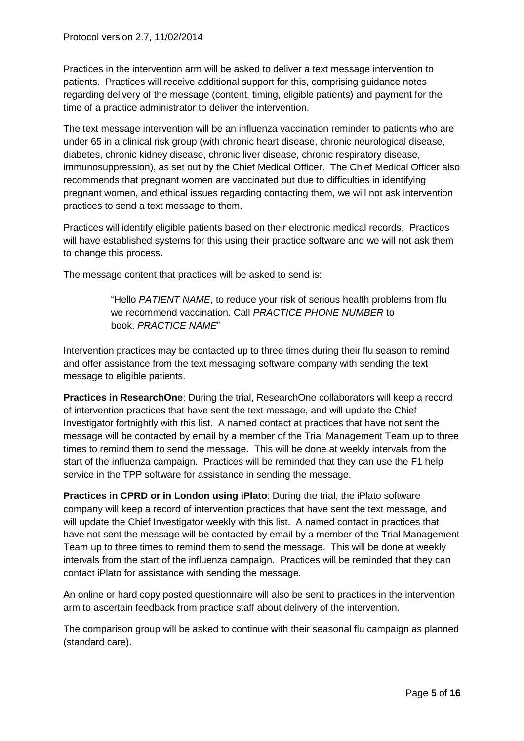Protocol version 2.7, 11/02/2014

Practices in the intervention arm will be asked to deliver a text message intervention to patients. Practices will receive additional support for this, comprising guidance notes regarding delivery of the message (content, timing, eligible patients) and payment for the time of a practice administrator to deliver the intervention.

The text message intervention will be an influenza vaccination reminder to patients who are under 65 in a clinical risk group (with chronic heart disease, chronic neurological disease, diabetes, chronic kidney disease, chronic liver disease, chronic respiratory disease, immunosuppression), as set out by the Chief Medical Officer. The Chief Medical Officer also recommends that pregnant women are vaccinated but due to difficulties in identifying pregnant women, and ethical issues regarding contacting them, we will not ask intervention practices to send a text message to them.

Practices will identify eligible patients based on their electronic medical records. Practices will have established systems for this using their practice software and we will not ask them to change this process.

The message content that practices will be asked to send is:

"Hello *PATIENT NAME*, to reduce your risk of serious health problems from flu we recommend vaccination. Call *PRACTICE PHONE NUMBER* to book. *PRACTICE NAME*"

Intervention practices may be contacted up to three times during their flu season to remind and offer assistance from the text messaging software company with sending the text message to eligible patients.

**Practices in ResearchOne**: During the trial, ResearchOne collaborators will keep a record of intervention practices that have sent the text message, and will update the Chief Investigator fortnightly with this list. A named contact at practices that have not sent the message will be contacted by email by a member of the Trial Management Team up to three times to remind them to send the message. This will be done at weekly intervals from the start of the influenza campaign. Practices will be reminded that they can use the F1 help service in the TPP software for assistance in sending the message.

**Practices in CPRD or in London using iPlato**: During the trial, the iPlato software company will keep a record of intervention practices that have sent the text message, and will update the Chief Investigator weekly with this list. A named contact in practices that have not sent the message will be contacted by email by a member of the Trial Management Team up to three times to remind them to send the message. This will be done at weekly intervals from the start of the influenza campaign. Practices will be reminded that they can contact iPlato for assistance with sending the message.

An online or hard copy posted questionnaire will also be sent to practices in the intervention arm to ascertain feedback from practice staff about delivery of the intervention.

The comparison group will be asked to continue with their seasonal flu campaign as planned (standard care).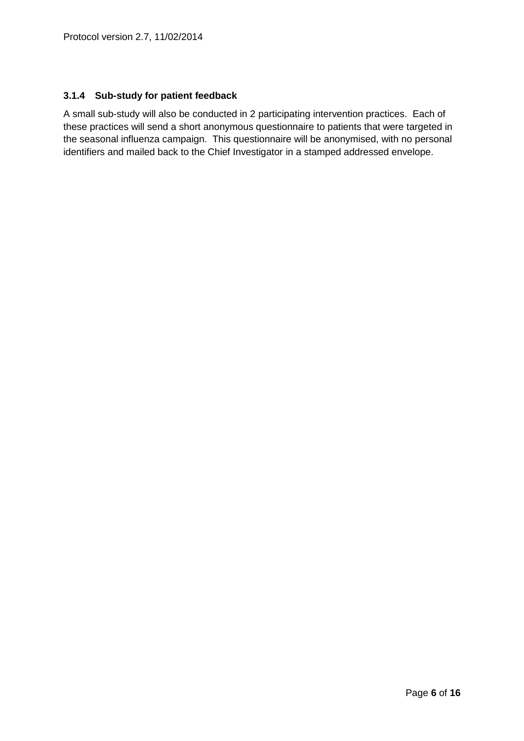### **3.1.4 Sub-study for patient feedback**

A small sub-study will also be conducted in 2 participating intervention practices. Each of these practices will send a short anonymous questionnaire to patients that were targeted in the seasonal influenza campaign. This questionnaire will be anonymised, with no personal identifiers and mailed back to the Chief Investigator in a stamped addressed envelope.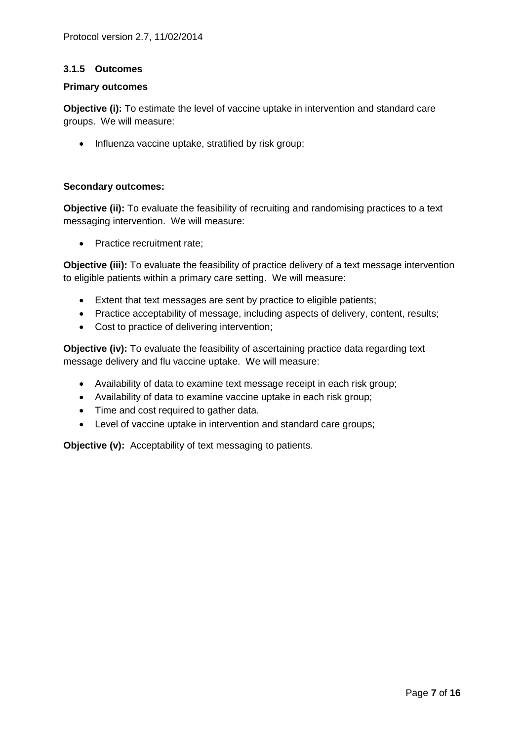#### **3.1.5 Outcomes**

#### **Primary outcomes**

**Objective (i):** To estimate the level of vaccine uptake in intervention and standard care groups. We will measure:

• Influenza vaccine uptake, stratified by risk group;

#### **Secondary outcomes:**

**Objective (ii):** To evaluate the feasibility of recruiting and randomising practices to a text messaging intervention. We will measure:

• Practice recruitment rate;

**Objective (iii):** To evaluate the feasibility of practice delivery of a text message intervention to eligible patients within a primary care setting. We will measure:

- Extent that text messages are sent by practice to eligible patients;
- Practice acceptability of message, including aspects of delivery, content, results;
- Cost to practice of delivering intervention;

**Objective (iv):** To evaluate the feasibility of ascertaining practice data regarding text message delivery and flu vaccine uptake. We will measure:

- Availability of data to examine text message receipt in each risk group;
- Availability of data to examine vaccine uptake in each risk group;
- Time and cost required to gather data.
- Level of vaccine uptake in intervention and standard care groups;

**Objective (v):** Acceptability of text messaging to patients.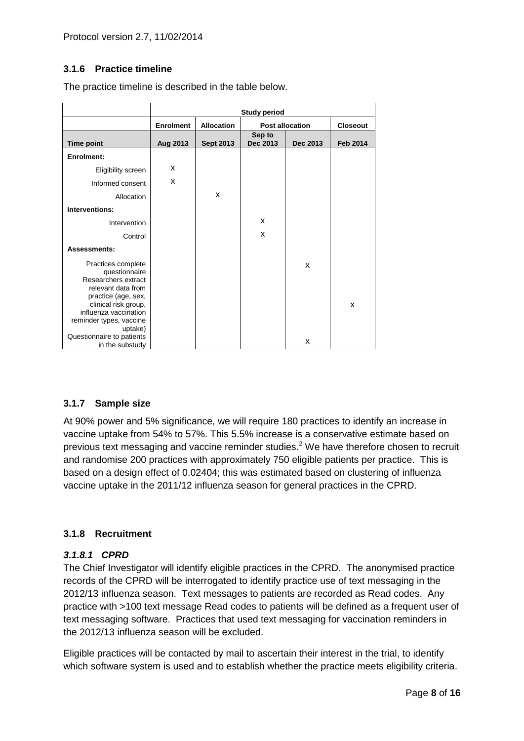# **3.1.6 Practice timeline**

The practice timeline is described in the table below.

|                                                                                                                                                                                                                             | <b>Study period</b>                                             |                  |                    |                 |                 |
|-----------------------------------------------------------------------------------------------------------------------------------------------------------------------------------------------------------------------------|-----------------------------------------------------------------|------------------|--------------------|-----------------|-----------------|
|                                                                                                                                                                                                                             | <b>Enrolment</b><br><b>Allocation</b><br><b>Post allocation</b> |                  |                    | <b>Closeout</b> |                 |
| <b>Time point</b>                                                                                                                                                                                                           | Aug 2013                                                        | <b>Sept 2013</b> | Sep to<br>Dec 2013 | Dec 2013        | <b>Feb 2014</b> |
| Enrolment:                                                                                                                                                                                                                  |                                                                 |                  |                    |                 |                 |
| Eligibility screen                                                                                                                                                                                                          | X                                                               |                  |                    |                 |                 |
| Informed consent                                                                                                                                                                                                            | X                                                               |                  |                    |                 |                 |
| Allocation                                                                                                                                                                                                                  |                                                                 | x                |                    |                 |                 |
| Interventions:                                                                                                                                                                                                              |                                                                 |                  |                    |                 |                 |
| Intervention                                                                                                                                                                                                                |                                                                 |                  | X                  |                 |                 |
| Control                                                                                                                                                                                                                     |                                                                 |                  | X                  |                 |                 |
| Assessments:                                                                                                                                                                                                                |                                                                 |                  |                    |                 |                 |
| Practices complete<br>questionnaire<br>Researchers extract<br>relevant data from<br>practice (age, sex,<br>clinical risk group,<br>influenza vaccination<br>reminder types, vaccine<br>uptake)<br>Questionnaire to patients |                                                                 |                  |                    | X               | X               |
| in the substudy                                                                                                                                                                                                             |                                                                 |                  |                    | X               |                 |

# **3.1.7 Sample size**

At 90% power and 5% significance, we will require 180 practices to identify an increase in vaccine uptake from 54% to 57%. This 5.5% increase is a conservative estimate based on previous text messaging and vaccine reminder studies.<sup>[2](#page-14-1)</sup> We have therefore chosen to recruit and randomise 200 practices with approximately 750 eligible patients per practice. This is based on a design effect of 0.02404; this was estimated based on clustering of influenza vaccine uptake in the 2011/12 influenza season for general practices in the CPRD.

#### **3.1.8 Recruitment**

#### *3.1.8.1 CPRD*

The Chief Investigator will identify eligible practices in the CPRD. The anonymised practice records of the CPRD will be interrogated to identify practice use of text messaging in the 2012/13 influenza season. Text messages to patients are recorded as Read codes. Any practice with >100 text message Read codes to patients will be defined as a frequent user of text messaging software. Practices that used text messaging for vaccination reminders in the 2012/13 influenza season will be excluded.

Eligible practices will be contacted by mail to ascertain their interest in the trial, to identify which software system is used and to establish whether the practice meets eligibility criteria.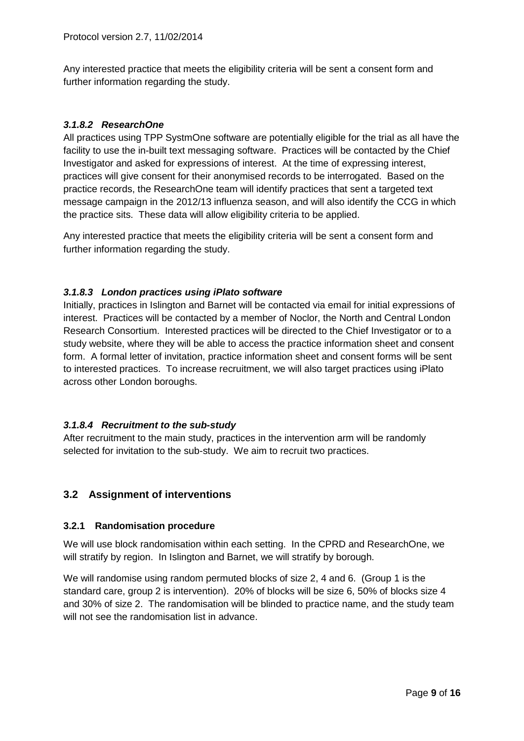Any interested practice that meets the eligibility criteria will be sent a consent form and further information regarding the study.

# *3.1.8.2 ResearchOne*

All practices using TPP SystmOne software are potentially eligible for the trial as all have the facility to use the in-built text messaging software. Practices will be contacted by the Chief Investigator and asked for expressions of interest. At the time of expressing interest, practices will give consent for their anonymised records to be interrogated. Based on the practice records, the ResearchOne team will identify practices that sent a targeted text message campaign in the 2012/13 influenza season, and will also identify the CCG in which the practice sits. These data will allow eligibility criteria to be applied.

Any interested practice that meets the eligibility criteria will be sent a consent form and further information regarding the study.

# *3.1.8.3 London practices using iPlato software*

Initially, practices in Islington and Barnet will be contacted via email for initial expressions of interest. Practices will be contacted by a member of Noclor, the North and Central London Research Consortium. Interested practices will be directed to the Chief Investigator or to a study website, where they will be able to access the practice information sheet and consent form. A formal letter of invitation, practice information sheet and consent forms will be sent to interested practices. To increase recruitment, we will also target practices using iPlato across other London boroughs.

# *3.1.8.4 Recruitment to the sub-study*

After recruitment to the main study, practices in the intervention arm will be randomly selected for invitation to the sub-study. We aim to recruit two practices.

# **3.2 Assignment of interventions**

#### **3.2.1 Randomisation procedure**

We will use block randomisation within each setting. In the CPRD and ResearchOne, we will stratify by region. In Islington and Barnet, we will stratify by borough.

We will randomise using random permuted blocks of size 2, 4 and 6. (Group 1 is the standard care, group 2 is intervention). 20% of blocks will be size 6, 50% of blocks size 4 and 30% of size 2. The randomisation will be blinded to practice name, and the study team will not see the randomisation list in advance.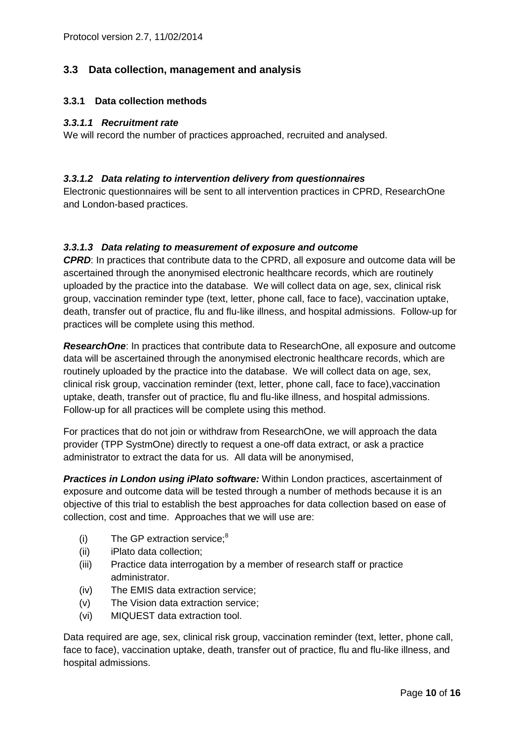# **3.3 Data collection, management and analysis**

#### **3.3.1 Data collection methods**

#### *3.3.1.1 Recruitment rate*

We will record the number of practices approached, recruited and analysed.

#### *3.3.1.2 Data relating to intervention delivery from questionnaires*

Electronic questionnaires will be sent to all intervention practices in CPRD, ResearchOne and London-based practices.

#### *3.3.1.3 Data relating to measurement of exposure and outcome*

*CPRD*: In practices that contribute data to the CPRD, all exposure and outcome data will be ascertained through the anonymised electronic healthcare records, which are routinely uploaded by the practice into the database. We will collect data on age, sex, clinical risk group, vaccination reminder type (text, letter, phone call, face to face), vaccination uptake, death, transfer out of practice, flu and flu-like illness, and hospital admissions. Follow-up for practices will be complete using this method.

*ResearchOne*: In practices that contribute data to ResearchOne, all exposure and outcome data will be ascertained through the anonymised electronic healthcare records, which are routinely uploaded by the practice into the database. We will collect data on age, sex, clinical risk group, vaccination reminder (text, letter, phone call, face to face),vaccination uptake, death, transfer out of practice, flu and flu-like illness, and hospital admissions. Follow-up for all practices will be complete using this method.

For practices that do not join or withdraw from ResearchOne, we will approach the data provider (TPP SystmOne) directly to request a one-off data extract, or ask a practice administrator to extract the data for us. All data will be anonymised,

*Practices in London using iPlato software:* Within London practices, ascertainment of exposure and outcome data will be tested through a number of methods because it is an objective of this trial to establish the best approaches for data collection based on ease of collection, cost and time. Approaches that we will use are:

- (i) The GP extraction service[;](#page-14-7) $8$
- (ii) iPlato data collection;
- (iii) Practice data interrogation by a member of research staff or practice administrator.
- (iv) The EMIS data extraction service;
- (v) The Vision data extraction service;
- (vi) MIQUEST data extraction tool.

Data required are age, sex, clinical risk group, vaccination reminder (text, letter, phone call, face to face), vaccination uptake, death, transfer out of practice, flu and flu-like illness, and hospital admissions.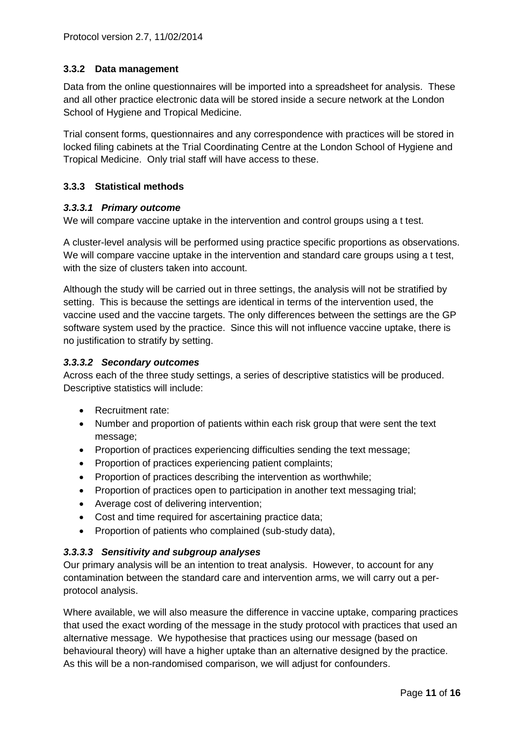# **3.3.2 Data management**

Data from the online questionnaires will be imported into a spreadsheet for analysis. These and all other practice electronic data will be stored inside a secure network at the London School of Hygiene and Tropical Medicine.

Trial consent forms, questionnaires and any correspondence with practices will be stored in locked filing cabinets at the Trial Coordinating Centre at the London School of Hygiene and Tropical Medicine. Only trial staff will have access to these.

# **3.3.3 Statistical methods**

#### *3.3.3.1 Primary outcome*

We will compare vaccine uptake in the intervention and control groups using a t test.

A cluster-level analysis will be performed using practice specific proportions as observations. We will compare vaccine uptake in the intervention and standard care groups using a t test, with the size of clusters taken into account.

Although the study will be carried out in three settings, the analysis will not be stratified by setting. This is because the settings are identical in terms of the intervention used, the vaccine used and the vaccine targets. The only differences between the settings are the GP software system used by the practice. Since this will not influence vaccine uptake, there is no justification to stratify by setting.

# *3.3.3.2 Secondary outcomes*

Across each of the three study settings, a series of descriptive statistics will be produced. Descriptive statistics will include:

- Recruitment rate:
- Number and proportion of patients within each risk group that were sent the text message;
- Proportion of practices experiencing difficulties sending the text message;
- Proportion of practices experiencing patient complaints;
- Proportion of practices describing the intervention as worthwhile;
- Proportion of practices open to participation in another text messaging trial;
- Average cost of delivering intervention;
- Cost and time required for ascertaining practice data;
- Proportion of patients who complained (sub-study data),

# *3.3.3.3 Sensitivity and subgroup analyses*

Our primary analysis will be an intention to treat analysis. However, to account for any contamination between the standard care and intervention arms, we will carry out a perprotocol analysis.

Where available, we will also measure the difference in vaccine uptake, comparing practices that used the exact wording of the message in the study protocol with practices that used an alternative message. We hypothesise that practices using our message (based on behavioural theory) will have a higher uptake than an alternative designed by the practice. As this will be a non-randomised comparison, we will adjust for confounders.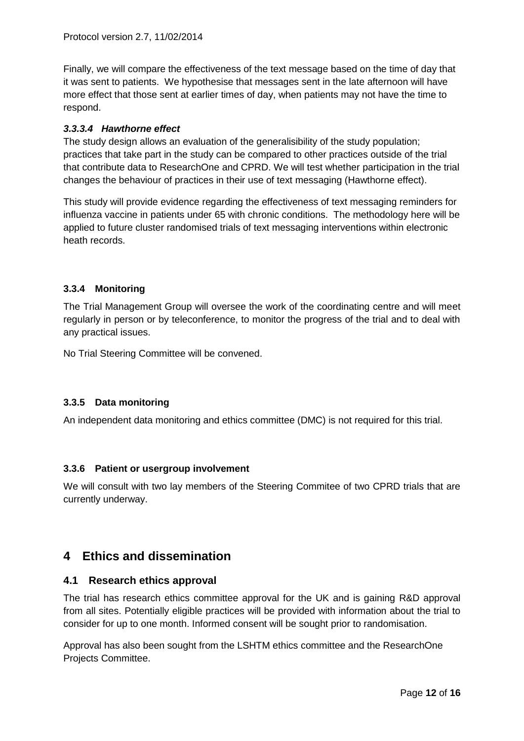Finally, we will compare the effectiveness of the text message based on the time of day that it was sent to patients. We hypothesise that messages sent in the late afternoon will have more effect that those sent at earlier times of day, when patients may not have the time to respond.

# *3.3.3.4 Hawthorne effect*

The study design allows an evaluation of the generalisibility of the study population; practices that take part in the study can be compared to other practices outside of the trial that contribute data to ResearchOne and CPRD. We will test whether participation in the trial changes the behaviour of practices in their use of text messaging (Hawthorne effect).

This study will provide evidence regarding the effectiveness of text messaging reminders for influenza vaccine in patients under 65 with chronic conditions. The methodology here will be applied to future cluster randomised trials of text messaging interventions within electronic heath records.

# **3.3.4 Monitoring**

The Trial Management Group will oversee the work of the coordinating centre and will meet regularly in person or by teleconference, to monitor the progress of the trial and to deal with any practical issues.

No Trial Steering Committee will be convened.

# **3.3.5 Data monitoring**

An independent data monitoring and ethics committee (DMC) is not required for this trial.

# **3.3.6 Patient or usergroup involvement**

We will consult with two lay members of the Steering Commitee of two CPRD trials that are currently underway.

# **4 Ethics and dissemination**

# **4.1 Research ethics approval**

The trial has research ethics committee approval for the UK and is gaining R&D approval from all sites. Potentially eligible practices will be provided with information about the trial to consider for up to one month. Informed consent will be sought prior to randomisation.

Approval has also been sought from the LSHTM ethics committee and the ResearchOne Projects Committee.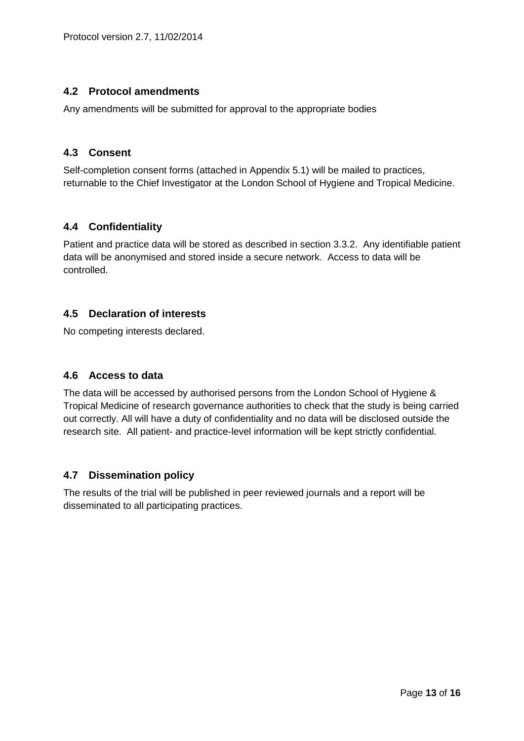# **4.2 Protocol amendments**

Any amendments will be submitted for approval to the appropriate bodies

# **4.3 Consent**

Self-completion consent forms (attached in Appendix 5.1) will be mailed to practices, returnable to the Chief Investigator at the London School of Hygiene and Tropical Medicine.

# **4.4 Confidentiality**

Patient and practice data will be stored as described in section 3.3.2. Any identifiable patient data will be anonymised and stored inside a secure network. Access to data will be controlled.

# **4.5 Declaration of interests**

No competing interests declared.

# **4.6 Access to data**

The data will be accessed by authorised persons from the London School of Hygiene & Tropical Medicine of research governance authorities to check that the study is being carried out correctly. All will have a duty of confidentiality and no data will be disclosed outside the research site. All patient- and practice-level information will be kept strictly confidential.

# **4.7 Dissemination policy**

The results of the trial will be published in peer reviewed journals and a report will be disseminated to all participating practices.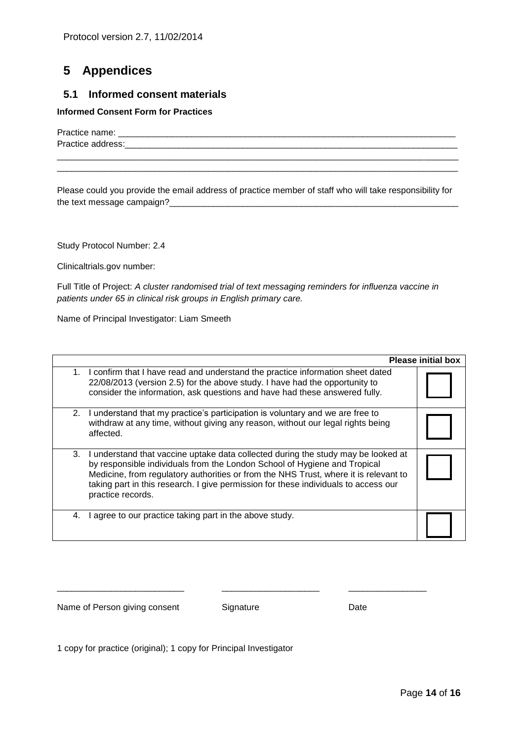# **5 Appendices**

# **5.1 Informed consent materials**

#### **Informed Consent Form for Practices**

Practice name:  $\blacksquare$ Practice address:\_\_\_\_\_\_\_\_\_\_\_\_\_\_\_\_\_\_\_\_\_\_\_\_\_\_\_\_\_\_\_\_\_\_\_\_\_\_\_\_\_\_\_\_\_\_\_\_\_\_\_\_\_\_\_\_\_\_\_\_\_\_\_\_\_\_\_\_

Please could you provide the email address of practice member of staff who will take responsibility for the text message campaign?\_\_\_\_\_\_\_\_\_\_\_\_\_\_\_\_\_\_\_\_\_\_\_\_\_\_\_\_\_\_\_\_\_\_\_\_\_\_\_\_\_\_\_\_\_\_\_\_\_\_\_\_\_\_\_\_\_\_\_

\_\_\_\_\_\_\_\_\_\_\_\_\_\_\_\_\_\_\_\_\_\_\_\_\_\_\_\_\_\_\_\_\_\_\_\_\_\_\_\_\_\_\_\_\_\_\_\_\_\_\_\_\_\_\_\_\_\_\_\_\_\_\_\_\_\_\_\_\_\_\_\_\_\_\_\_\_\_\_\_\_\_ \_\_\_\_\_\_\_\_\_\_\_\_\_\_\_\_\_\_\_\_\_\_\_\_\_\_\_\_\_\_\_\_\_\_\_\_\_\_\_\_\_\_\_\_\_\_\_\_\_\_\_\_\_\_\_\_\_\_\_\_\_\_\_\_\_\_\_\_\_\_\_\_\_\_\_\_\_\_\_\_\_\_

Study Protocol Number: 2.4

Clinicaltrials.gov number:

Full Title of Project: *A cluster randomised trial of text messaging reminders for influenza vaccine in patients under 65 in clinical risk groups in English primary care.*

Name of Principal Investigator: Liam Smeeth

|    |                                                                                                                                                                                                                                                                                                                                                                    | <b>Please initial box</b> |
|----|--------------------------------------------------------------------------------------------------------------------------------------------------------------------------------------------------------------------------------------------------------------------------------------------------------------------------------------------------------------------|---------------------------|
|    | 1. I confirm that I have read and understand the practice information sheet dated<br>22/08/2013 (version 2.5) for the above study. I have had the opportunity to<br>consider the information, ask questions and have had these answered fully.                                                                                                                     |                           |
| 2. | I understand that my practice's participation is voluntary and we are free to<br>withdraw at any time, without giving any reason, without our legal rights being<br>affected.                                                                                                                                                                                      |                           |
| 3. | I understand that vaccine uptake data collected during the study may be looked at<br>by responsible individuals from the London School of Hygiene and Tropical<br>Medicine, from regulatory authorities or from the NHS Trust, where it is relevant to<br>taking part in this research. I give permission for these individuals to access our<br>practice records. |                           |
| 4. | agree to our practice taking part in the above study.                                                                                                                                                                                                                                                                                                              |                           |

Name of Person giving consent Signature Signature Date

\_\_\_\_\_\_\_\_\_\_\_\_\_\_\_\_\_\_\_\_\_\_\_\_\_\_ \_\_\_\_\_\_\_\_\_\_\_\_\_\_\_\_\_\_\_\_ \_\_\_\_\_\_\_\_\_\_\_\_\_\_\_\_

1 copy for practice (original); 1 copy for Principal Investigator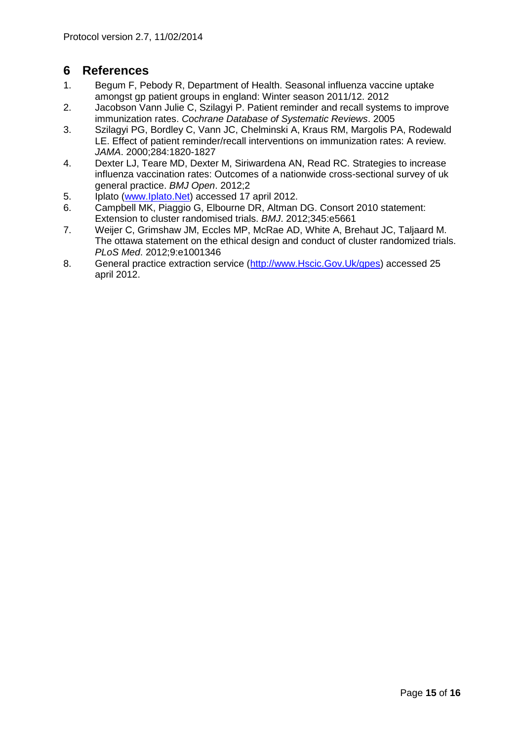# **6 References**

- <span id="page-14-0"></span>1. Begum F, Pebody R, Department of Health. Seasonal influenza vaccine uptake amongst gp patient groups in england: Winter season 2011/12. 2012
- <span id="page-14-1"></span>2. Jacobson Vann Julie C, Szilagyi P. Patient reminder and recall systems to improve immunization rates. *Cochrane Database of Systematic Reviews*. 2005
- <span id="page-14-2"></span>3. Szilagyi PG, Bordley C, Vann JC, Chelminski A, Kraus RM, Margolis PA, Rodewald LE. Effect of patient reminder/recall interventions on immunization rates: A review. *JAMA*. 2000;284:1820-1827
- <span id="page-14-3"></span>4. Dexter LJ, Teare MD, Dexter M, Siriwardena AN, Read RC. Strategies to increase influenza vaccination rates: Outcomes of a nationwide cross-sectional survey of uk general practice. *BMJ Open*. 2012;2
- <span id="page-14-4"></span>5. Iplato [\(www.Iplato.Net\)](http://www.iplato.net/) accessed 17 april 2012.
- <span id="page-14-5"></span>6. Campbell MK, Piaggio G, Elbourne DR, Altman DG. Consort 2010 statement: Extension to cluster randomised trials. *BMJ*. 2012;345:e5661
- <span id="page-14-6"></span>7. Weijer C, Grimshaw JM, Eccles MP, McRae AD, White A, Brehaut JC, Taljaard M. The ottawa statement on the ethical design and conduct of cluster randomized trials. *PLoS Med*. 2012;9:e1001346
- <span id="page-14-7"></span>8. General practice extraction service [\(http://www.Hscic.Gov.Uk/gpes\)](http://www.hscic.gov.uk/gpes) accessed 25 april 2012.